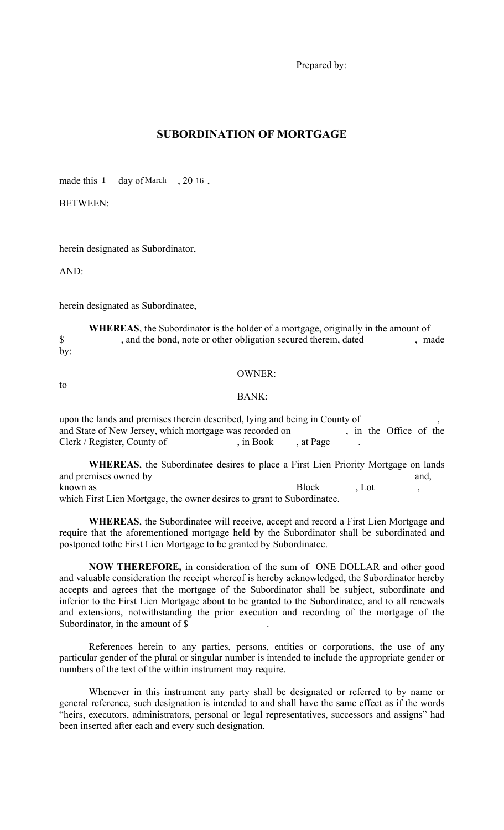Prepared by:

## **SUBORDINATION OF MORTGAGE**

made this  $1$  day of March , 20 16,

BETWEEN:

herein designated as Subordinator,

AND:

herein designated as Subordinatee,

**WHEREAS**, the Subordinator is the holder of a mortgage, originally in the amount of \$ , and the bond, note or other obligation secured therein, dated , made by:

to

OWNER:

BANK:

upon the lands and premises therein described, lying and being in County of and State of New Jersey, which mortgage was recorded on , in the Office of the Clerk / Register, County of , in Book , at Page

**WHEREAS**, the Subordinatee desires to place a First Lien Priority Mortgage on lands and premises owned by and, known as Block and Block , Lot, the set of  $\alpha$ , Lot and  $\alpha$ , Lot and  $\alpha$ , Lot and  $\alpha$ , Lot and  $\alpha$ , Lot and  $\alpha$ , Lot and  $\alpha$ , Lot and  $\alpha$ , Lot and  $\alpha$ , Lot and  $\alpha$ , Lot and  $\alpha$ , Lot and  $\alpha$ , Lot and  $\alpha$ , Lot a which First Lien Mortgage, the owner desires to grant to Subordinatee.

**WHEREAS**, the Subordinatee will receive, accept and record a First Lien Mortgage and require that the aforementioned mortgage held by the Subordinator shall be subordinated and postponed tothe First Lien Mortgage to be granted by Subordinatee.

**NOW THEREFORE,** in consideration of the sum of ONE DOLLAR and other good and valuable consideration the receipt whereof is hereby acknowledged, the Subordinator hereby accepts and agrees that the mortgage of the Subordinator shall be subject, subordinate and inferior to the First Lien Mortgage about to be granted to the Subordinatee, and to all renewals and extensions, notwithstanding the prior execution and recording of the mortgage of the Subordinator, in the amount of \$

 References herein to any parties, persons, entities or corporations, the use of any particular gender of the plural or singular number is intended to include the appropriate gender or numbers of the text of the within instrument may require.

 Whenever in this instrument any party shall be designated or referred to by name or general reference, such designation is intended to and shall have the same effect as if the words "heirs, executors, administrators, personal or legal representatives, successors and assigns" had been inserted after each and every such designation.